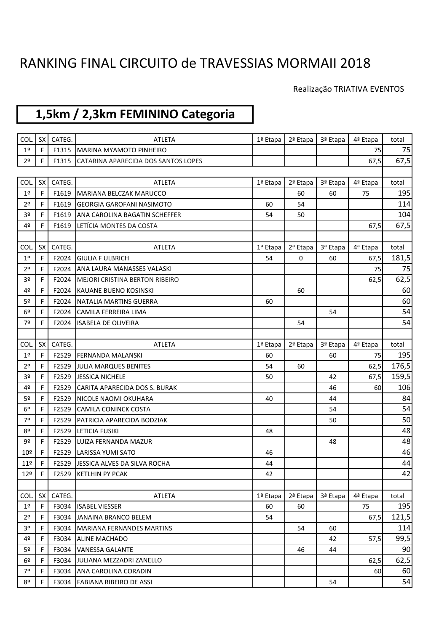## RANKING FINAL CIRCUITO de TRAVESSIAS MORMAII 2018

## Realização TRIATIVA EVENTOS

## **1,5km / 2,3km FEMININO Categoria**

| COL.            | <b>SX</b> | CATEG. | <b>ATLETA</b>                        | 1ª Etapa | 2ª Etapa | 3ª Etapa | 4ª Etapa | total |
|-----------------|-----------|--------|--------------------------------------|----------|----------|----------|----------|-------|
| 1 <sup>°</sup>  | F         | F1315  | <b>MARINA MYAMOTO PINHEIRO</b>       |          |          |          | 75       | 75    |
| 2 <sup>o</sup>  | F.        | F1315  | CATARINA APARECIDA DOS SANTOS LOPES  |          |          |          | 67,5     | 67,5  |
|                 |           |        |                                      |          |          |          |          |       |
| COL.            | <b>SX</b> | CATEG. | <b>ATLETA</b>                        | 1ª Etapa | 2ª Etapa | 3ª Etapa | 4ª Etapa | total |
| 1 <sup>°</sup>  | F.        | F1619  | MARIANA BELCZAK MARUCCO              |          | 60       | 60       | 75       | 195   |
| 2 <sup>o</sup>  | F         | F1619  | <b>GEORGIA GAROFANI NASIMOTO</b>     | 60       | 54       |          |          | 114   |
| 3 <sup>o</sup>  | F.        | F1619  | ANA CAROLINA BAGATIN SCHEFFER        | 54       | 50       |          |          | 104   |
| 4º              | F.        | F1619  | LETÍCIA MONTES DA COSTA              |          |          |          | 67,5     | 67,5  |
|                 |           |        |                                      |          |          |          |          |       |
| COL.            | <b>SX</b> | CATEG. | ATLETA                               | 1ª Etapa | 2ª Etapa | 3ª Etapa | 4ª Etapa | total |
| 1 <sup>°</sup>  | F         | F2024  | <b>GIULIA F ULBRICH</b>              | 54       | 0        | 60       | 67,5     | 181,5 |
| 2 <sup>o</sup>  | F.        | F2024  | ANA LAURA MANASSES VALASKI           |          |          |          | 75       | 75    |
| 3º              | F.        |        | F2024 MEJORI CRISTINA BERTON RIBEIRO |          |          |          | 62,5     | 62,5  |
| 4º              | F.        | F2024  | KAUANE BUENO KOSINSKI                |          | 60       |          |          | 60    |
| 5 <sup>o</sup>  | F.        | F2024  | NATALIA MARTINS GUERRA               | 60       |          |          |          | 60    |
| 6 <sup>°</sup>  | F         | F2024  | CAMILA FERREIRA LIMA                 |          |          | 54       |          | 54    |
| 7º              | F.        | F2024  | <b>ISABELA DE OLIVEIRA</b>           |          | 54       |          |          | 54    |
|                 |           |        |                                      |          |          |          |          |       |
| COL.            | SX        | CATEG. | <b>ATLETA</b>                        | 1ª Etapa | 2ª Etapa | 3ª Etapa | 4ª Etapa | total |
| 1 <sup>°</sup>  | F.        | F2529  | <b>FERNANDA MALANSKI</b>             | 60       |          | 60       | 75       | 195   |
| 2 <sup>o</sup>  | F         | F2529  | JULIA MARQUES BENITES                | 54       | 60       |          | 62,5     | 176,5 |
| 3 <sup>o</sup>  | F.        | F2529  | <b>JESSICA NICHELE</b>               | 50       |          | 42       | 67,5     | 159,5 |
| 4º              | F.        | F2529  | CARITA APARECIDA DOS S. BURAK        |          |          | 46       | 60       | 106   |
| 5 <sup>o</sup>  | F.        | F2529  | <b>NICOLE NAOMI OKUHARA</b>          | 40       |          | 44       |          | 84    |
| 6 <sup>°</sup>  | F.        | F2529  | <b>CAMILA CONINCK COSTA</b>          |          |          | 54       |          | 54    |
| 7º              | F         | F2529  | PATRICIA APARECIDA BODZIAK           |          |          | 50       |          | 50    |
| 8º              | F.        | F2529  | LETICIA FUSIKI                       | 48       |          |          |          | 48    |
| 92              | F.        | F2529  | LUIZA FERNANDA MAZUR                 |          |          | 48       |          | 48    |
| 10 <sup>°</sup> |           | F2529  | <b>LARISSA YUMI SATO</b>             | 46       |          |          |          | 46    |
| 11 <sup>°</sup> | F.        | F2529  | JESSICA ALVES DA SILVA ROCHA         | 44       |          |          |          | 44    |
| 12 <sup>°</sup> | F         | F2529  | <b>KETLHIN PY PCAK</b>               | 42       |          |          |          | 42    |
|                 |           |        |                                      |          |          |          |          |       |
| COL.            | <b>SX</b> | CATEG. | ATLETA                               | 1ª Etapa | 2ª Etapa | 3ª Etapa | 4ª Etapa | total |
| 1 <sup>°</sup>  | F.        | F3034  | <b>ISABEL VIESSER</b>                | 60       | 60       |          | 75       | 195   |
| 2 <sup>o</sup>  | F.        | F3034  | JANAINA BRANCO BELEM                 | 54       |          |          | 67,5     | 121,5 |
| 3 <sup>o</sup>  | F.        | F3034  | <b>MARIANA FERNANDES MARTINS</b>     |          | 54       | 60       |          | 114   |
| 4º              | F.        | F3034  | <b>ALINE MACHADO</b>                 |          |          | 42       | 57,5     | 99,5  |
| 5 <sup>o</sup>  | F.        | F3034  | <b>VANESSA GALANTE</b>               |          | 46       | 44       |          | 90    |
| 6º              | F.        | F3034  | JULIANA MEZZADRI ZANELLO             |          |          |          | 62,5     | 62,5  |
| 7º              | F.        | F3034  | ANA CAROLINA CORADIN                 |          |          |          | 60       | 60    |
| 8º              |           | F3034  | FABIANA RIBEIRO DE ASSI              |          |          | 54       |          | 54    |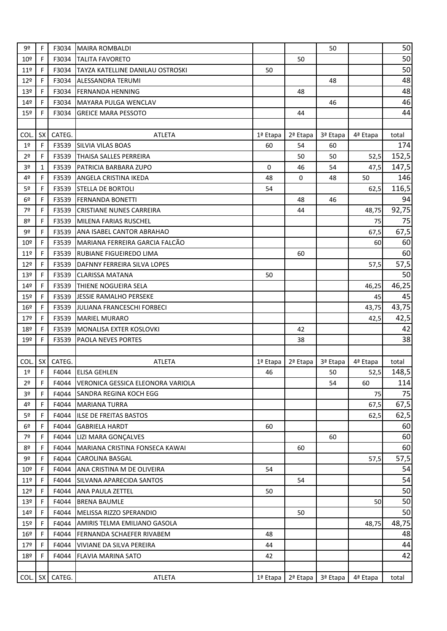| 9º              | F            | F3034  | <b>MAIRA ROMBALDI</b>             |          |          | 50       |          | 50    |
|-----------------|--------------|--------|-----------------------------------|----------|----------|----------|----------|-------|
| 10 <sup>°</sup> | F            | F3034  | <b>TALITA FAVORETO</b>            |          | 50       |          |          | 50    |
| 11 <sup>°</sup> | F            | F3034  | TAYZA KATELLINE DANILAU OSTROSKI  | 50       |          |          |          | 50    |
| 12 <sup>°</sup> | F            | F3034  | <b>ALESSANDRA TERUMI</b>          |          |          | 48       |          | 48    |
| 13º             | F            | F3034  | <b>FERNANDA HENNING</b>           |          | 48       |          |          | 48    |
| 14 <sup>°</sup> | F            | F3034  | <b>MAYARA PULGA WENCLAV</b>       |          |          | 46       |          | 46    |
| $15^{\circ}$    | F            | F3034  | <b>GREICE MARA PESSOTO</b>        |          | 44       |          |          | 44    |
|                 |              |        |                                   |          |          |          |          |       |
| COL.            | <b>SX</b>    | CATEG. | <b>ATLETA</b>                     | 1ª Etapa | 2ª Etapa | 3ª Etapa | 4ª Etapa | total |
| 1 <sup>°</sup>  | $\mathsf{F}$ | F3539  | <b>SILVIA VILAS BOAS</b>          | 60       | 54       | 60       |          | 174   |
| 2 <sup>o</sup>  | F            | F3539  | <b>THAISA SALLES PERREIRA</b>     |          | 50       | 50       | 52,5     | 152,5 |
| 3º              | $\mathbf{1}$ | F3539  | <b>PATRICIA BARBARA ZUPO</b>      | 0        | 46       | 54       | 47,5     | 147,5 |
| 4º              | F            | F3539  | ANGELA CRISTINA IKEDA             | 48       | 0        | 48       | 50       | 146   |
| 5 <sup>o</sup>  | F.           | F3539  | <b>STELLA DE BORTOLI</b>          | 54       |          |          | 62,5     | 116,5 |
| 6 <sup>°</sup>  | F            | F3539  | <b>FERNANDA BONETTI</b>           |          | 48       | 46       |          | 94    |
| 7º              | F            | F3539  | <b>CRISTIANE NUNES CARREIRA</b>   |          | 44       |          | 48,75    | 92,75 |
| 80              | F            | F3539  | MILENA FARIAS RUSCHEL             |          |          |          | 75       | 75    |
| 9º              | F            | F3539  | ANA ISABEL CANTOR ABRAHAO         |          |          |          | 67,5     | 67,5  |
| 10 <sup>°</sup> | F.           | F3539  | MARIANA FERREIRA GARCIA FALCÃO    |          |          |          | 60       | 60    |
| 11 <sup>°</sup> | F            | F3539  | IRUBIANE FIGUEIREDO LIMA          |          | 60       |          |          | 60    |
| 12 <sup>°</sup> | F.           | F3539  | DAFNNY FERREIRA SILVA LOPES       |          |          |          | 57,5     | 57,5  |
| 13 <sup>°</sup> | F            | F3539  | <b>CLARISSA MATANA</b>            | 50       |          |          |          | 50    |
| 14 <sup>°</sup> | F            | F3539  | THIENE NOGUEIRA SELA              |          |          |          | 46,25    | 46,25 |
| 15 <sup>°</sup> | F.           | F3539  | JESSIE RAMALHO PERSEKE            |          |          |          | 45       | 45    |
| 16 <sup>°</sup> | F            | F3539  | JULIANA FRANCESCHI FORBECI        |          |          |          | 43,75    | 43,75 |
| 179             | F.           | F3539  | <b>MARIEL MURARO</b>              |          |          |          | 42,5     | 42,5  |
| 18º             | F            | F3539  | MONALISA EXTER KOSLOVKI           |          | 42       |          |          | 42    |
| 19º             | F.           | F3539  | PAOLA NEVES PORTES                |          | 38       |          |          | 38    |
|                 |              |        |                                   |          |          |          |          |       |
| COL.            | <b>SX</b>    | CATEG. | <b>ATLETA</b>                     | 1ª Etapa | 2ª Etapa | 3ª Etapa | 4ª Etapa | total |
| 1 <sup>°</sup>  | F            | F4044  | <b>ELISA GEHLEN</b>               | 46       |          | 50       | 52,5     | 148,5 |
| 2 <sup>o</sup>  | F            | F4044  | VERONICA GESSICA ELEONORA VARIOLA |          |          | 54       | 60       | 114   |
| 3 <sup>o</sup>  | F.           | F4044  | <b>SANDRA REGINA KOCH EGG</b>     |          |          |          | 75       | 75    |
| 4º              | F            | F4044  | <b>MARIANA TURRA</b>              |          |          |          | 67,5     | 67,5  |
| 5 <sup>o</sup>  | F.           | F4044  | ILSE DE FREITAS BASTOS            |          |          |          | 62,5     | 62,5  |
| 6º              | F.           | F4044  | <b>GABRIELA HARDT</b>             | 60       |          |          |          | 60    |
| 7º              | F            | F4044  | LIZI MARA GONÇALVES               |          |          | 60       |          | 60    |
| 8º              | F.           | F4044  | MARIANA CRISTINA FONSECA KAWAI    |          | 60       |          |          | 60    |
| 9º              | F.           | F4044  | <b>CAROLINA BASGAL</b>            |          |          |          | 57,5     | 57,5  |
| 10 <sup>°</sup> | F            | F4044  | ANA CRISTINA M DE OLIVEIRA        | 54       |          |          |          | 54    |
| 11 <sup>°</sup> | F            | F4044  | SILVANA APARECIDA SANTOS          |          | 54       |          |          | 54    |
| 12 <sup>°</sup> | F.           | F4044  | <b>ANA PAULA ZETTEL</b>           | 50       |          |          |          | 50    |
| 13 <sup>°</sup> | F.           | F4044  | <b>BRENA BAUMLE</b>               |          |          |          | 50       | 50    |
| 14 <sup>°</sup> | F.           | F4044  | MELISSA RIZZO SPERANDIO           |          | 50       |          |          | 50    |
| $15^{\circ}$    | F            | F4044  | AMIRIS TELMA EMILIANO GASOLA      |          |          |          | 48,75    | 48,75 |
| 16 <sup>°</sup> | F.           | F4044  | FERNANDA SCHAEFER RIVABEM         | 48       |          |          |          | 48    |
| 17 <sup>°</sup> | F.           | F4044  | <b>VIVIANE DA SILVA PEREIRA</b>   | 44       |          |          |          | 44    |
| 18º             | F            | F4044  | FLAVIA MARINA SATO                | 42       |          |          |          | 42    |
|                 |              |        |                                   |          |          |          |          |       |
| COL.            | SX I         | CATEG. | ATLETA                            | 1ª Etapa | 2ª Etapa | 3ª Etapa | 4ª Etapa | total |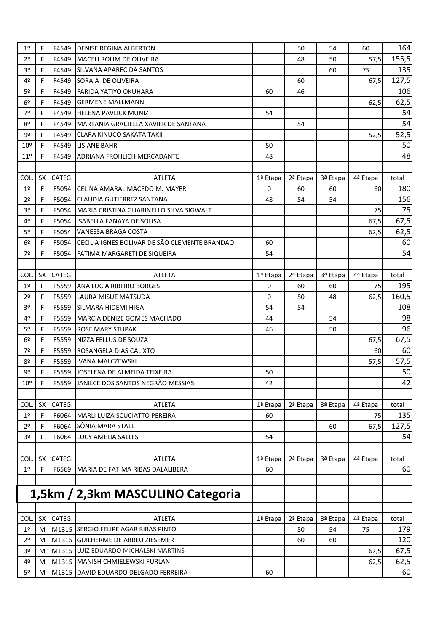| 1 <sup>°</sup>  | F         | F4549  | <b>IDENISE REGINA ALBERTON</b>                 |          | 50       | 54       | 60       | 164        |
|-----------------|-----------|--------|------------------------------------------------|----------|----------|----------|----------|------------|
| 2 <sup>o</sup>  | F         |        | <b>F4549 IMACELI ROLIM DE OLIVEIRA</b>         |          | 48       | 50       | 57,5     | 155,5      |
| 3 <sup>o</sup>  | F         | F4549  | <b>SILVANA APARECIDA SANTOS</b>                |          |          | 60       | 75       | 135        |
| 4º              | F         | F4549  | <b>SORAIA DE OLIVEIRA</b>                      |          | 60       |          | 67,5     | 127,5      |
| 5º              | F         | F4549  | <b>IFARIDA YATIYO OKUHARA</b>                  | 60       | 46       |          |          | 106        |
| 6 <sup>°</sup>  | F         | F4549  | <b>I</b> GERMENE MALLMANN                      |          |          |          | 62,5     | 62,5       |
| 7º              | F.        | F4549  | <b>HELENA PAVLICK MUNIZ</b>                    | 54       |          |          |          | 54         |
| 8º              | F         | F4549  | MARTANIA GRACIELLA XAVIER DE SANTANA           |          | 54       |          |          | 54         |
| 9º              | F         | F4549  | <b>CLARA KINUCO SAKATA TAKII</b>               |          |          |          | 52,5     | 52,5       |
| 10 <sup>°</sup> | F         | F4549  | <b>LISIANE BAHR</b>                            | 50       |          |          |          | 50         |
| 11 <sup>°</sup> | F.        | F4549  | <b>ADRIANA FROHLICH MERCADANTE</b>             | 48       |          |          |          | 48         |
|                 |           |        |                                                |          |          |          |          |            |
| COL.            | SX        | CATEG. | <b>ATLETA</b>                                  | 1ª Etapa | 2ª Etapa | 3ª Etapa | 4ª Etapa | total      |
| 1 <sup>°</sup>  | F         | F5054  | <b>I</b> CELINA AMARAL MACEDO M. MAYER         | 0        | 60       | 60       | 60       | 180        |
| 2 <sup>o</sup>  | F.        | F5054  | <b>CLAUDIA GUTIERREZ SANTANA</b>               | 48       | 54       | 54       |          | 156        |
| 3 <sup>o</sup>  | F.        | F5054  | MARIA CRISTINA GUARINELLO SILVA SIGWALT        |          |          |          | 75       | 75         |
| 4º              | F.        | F5054  | <b>ISABELLA FANAYA DE SOUSA</b>                |          |          |          | 67,5     | 67,5       |
| 5 <sup>o</sup>  | F         | F5054  | <b>VANESSA BRAGA COSTA</b>                     |          |          |          | 62,5     | 62,5       |
| 6 <sup>°</sup>  | F.        | F5054  | CECILIA IGNES BOLIVAR DE SÃO CLEMENTE BRANDAO  | 60       |          |          |          | 60         |
| 7º              | F         | F5054  | FATIMA MARGARETI DE SIQUEIRA                   | 54       |          |          |          | 54         |
|                 |           |        |                                                |          |          |          |          |            |
| COL.            | SX        | CATEG. | <b>ATLETA</b>                                  | 1ª Etapa | 2ª Etapa | 3ª Etapa | 4ª Etapa | total      |
| 1 <sup>°</sup>  | F         | F5559  | <b>ANA LUCIA RIBEIRO BORGES</b>                | 0        | 60       | 60       | 75       | 195        |
| 2 <sup>o</sup>  | F.        | F5559  | LAURA MISUE MATSUDA                            | 0        | 50       | 48       | 62,5     | 160,5      |
| 3º              | F         | F5559  | ISILMARA HIDEMI HIGA                           | 54       | 54       |          |          | 108        |
| 4º              | F.        | F5559  | MARCIA DENIZE GOMES MACHADO                    | 44       |          | 54       |          | 98         |
| 5º              | F         | F5559  | <b>ROSE MARY STUPAK</b>                        | 46       |          | 50       |          | 96         |
| 6 <sup>°</sup>  | F         | F5559  | NIZZA FELLUS DE SOUZA                          |          |          |          | 67,5     | 67,5       |
| 7º              | F.        | F5559  | ROSANGELA DIAS CALIXTO                         |          |          |          | 60       | 60         |
| 8º              | F         | F5559  | <b>IVANA MALCZEWSKI</b>                        |          |          |          | 57,5     | 57,5       |
| 9º              | F.        | F5559  | JOSELENA DE ALMEIDA TEIXEIRA                   | 50       |          |          |          | 50         |
| 10 <sup>°</sup> | F         | F5559  | JANILCE DOS SANTOS NEGRÃO MESSIAS              | 42       |          |          |          | 42         |
|                 |           |        |                                                |          |          |          |          |            |
| COL.            | SX I      | CATEG. | <b>ATLETA</b>                                  | 1ª Etapa | 2ª Etapa | 3ª Etapa | 4ª Etapa | total      |
| $1^{\sf o}$     | F         | F6064  | MARLI LUIZA SCUCIATTO PEREIRA                  | 60       |          |          | 75       | 135        |
| 2º              | F.        | F6064  | SÔNIA MARA STALL                               |          |          | 60       | 67,5     | 127,5      |
| 3 <sup>o</sup>  | F         | F6064  | LUCY AMELIA SALLES                             | 54       |          |          |          | 54         |
|                 |           |        |                                                |          |          |          |          |            |
| COL.            | <b>SX</b> | CATEG. | <b>ATLETA</b>                                  | 1ª Etapa | 2ª Etapa | 3ª Etapa | 4ª Etapa | total      |
| $1^{\sf o}$     | F         | F6569  | MARIA DE FATIMA RIBAS DALALIBERA               | 60       |          |          |          | 60         |
|                 |           |        |                                                |          |          |          |          |            |
|                 |           |        | 1,5km / 2,3km MASCULINO Categoria              |          |          |          |          |            |
|                 |           |        |                                                |          |          |          |          |            |
|                 | <b>SX</b> |        |                                                |          |          |          |          |            |
| COL.            |           | CATEG. | ATLETA<br>M1315 SERGIO FELIPE AGAR RIBAS PINTO | 1ª Etapa | 2ª Etapa | 3ª Etapa | 4ª Etapa | total      |
| 1 <sup>°</sup>  | M         |        |                                                |          | 50       | 54       | 75       | 179<br>120 |
| 2 <sup>o</sup>  | M         |        | M1315 GUILHERME DE ABREU ZIESEMER              |          | 60       | 60       |          |            |
| 3 <sup>o</sup>  | M         |        | M1315 LUIZ EDUARDO MICHALSKI MARTINS           |          |          |          | 67,5     | 67,5       |
| 4º              | M         |        | M1315 MANISH CHMIELEWSKI FURLAN                |          |          |          | 62,5     | 62,5       |
| 5º              | M         |        | M1315 DAVID EDUARDO DELGADO FERREIRA           | 60       |          |          |          | 60         |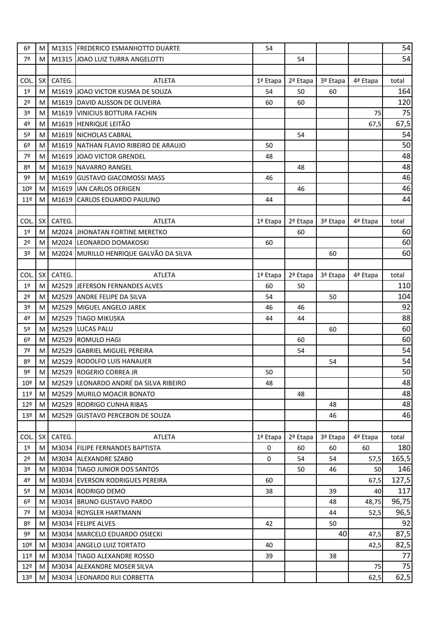| 6 <sup>°</sup>  | M         |        | M1315   FREDERICO ESMANHOTTO DUARTE    | 54       |          |          |          | 54    |
|-----------------|-----------|--------|----------------------------------------|----------|----------|----------|----------|-------|
| 7º              | M         |        | M1315 JOAO LUIZ TURRA ANGELOTTI        |          | 54       |          |          | 54    |
|                 |           |        |                                        |          |          |          |          |       |
| COL.            | <b>SX</b> | CATEG. | <b>ATLETA</b>                          | 1ª Etapa | 2ª Etapa | 3ª Etapa | 4ª Etapa | total |
| $1^{\sf o}$     | M         |        | M1619 JOAO VICTOR KUSMA DE SOUZA       | 54       | 50       | 60       |          | 164   |
| 2 <sup>o</sup>  | M         |        | M1619 DAVID ALISSON DE OLIVEIRA        | 60       | 60       |          |          | 120   |
| 3 <sup>o</sup>  | M         |        | M1619 VINICIUS BOTTURA FACHIN          |          |          |          | 75       | 75    |
| 4º              | M         |        | M1619 HENRIQUE LEITÃO                  |          |          |          | 67,5     | 67,5  |
| 5 <sup>o</sup>  | M         |        | M1619 NICHOLAS CABRAL                  |          | 54       |          |          | 54    |
| 6º              | M         |        | M1619 NATHAN FLAVIO RIBEIRO DE ARAUJO  | 50       |          |          |          | 50    |
| 7º              | M         |        | M1619 JOAO VICTOR GRENDEL              | 48       |          |          |          | 48    |
| 8º              | M         |        | M1619 NAVARRO RANGEL                   |          | 48       |          |          | 48    |
| 9º              | M         |        | M1619 GUSTAVO GIACOMOSSI MASS          | 46       |          |          |          | 46    |
| 10 <sup>°</sup> | M         |        | M1619 IAN CARLOS DERIGEN               |          | 46       |          |          | 46    |
| 11 <sup>°</sup> | M         | M1619  | <b>CARLOS EDUARDO PAULINO</b>          | 44       |          |          |          | 44    |
|                 |           |        |                                        |          |          |          |          |       |
| COL.            | SX        | CATEG. | <b>ATLETA</b>                          | 1ª Etapa | 2ª Etapa | 3ª Etapa | 4ª Etapa | total |
| 1 <sup>°</sup>  | M         |        | M2024 JHONATAN FORTINE MERETKO         |          | 60       |          |          | 60    |
| 2 <sup>o</sup>  | M         |        | M2024 LEONARDO DOMAKOSKI               | 60       |          |          |          | 60    |
| 3 <sup>o</sup>  | M         |        | M2024 MURILLO HENRIQUE GALVÃO DA SILVA |          |          | 60       |          | 60    |
|                 |           |        |                                        |          |          |          |          |       |
| COL.            | <b>SX</b> | CATEG. | <b>ATLETA</b>                          | 1ª Etapa | 2ª Etapa | 3ª Etapa | 4ª Etapa | total |
| 1 <sup>°</sup>  | M         |        | M2529 JEFERSON FERNANDES ALVES         | 60       | 50       |          |          | 110   |
| 2 <sup>o</sup>  | M         |        | M2529 ANDRE FELIPE DA SILVA            | 54       |          | 50       |          | 104   |
| 3 <sup>o</sup>  | M         |        | M2529 MIGUEL ANGELO JAREK              | 46       | 46       |          |          | 92    |
|                 |           |        |                                        |          |          |          |          |       |
|                 |           |        |                                        |          |          |          |          |       |
| 4º              | M         |        | M2529 TIAGO MIKUSKA                    | 44       | 44       |          |          | 88    |
| 5 <sup>o</sup>  | M         |        | M2529 LUCAS PALU                       |          |          | 60       |          | 60    |
| 6 <sup>°</sup>  | M         |        | M2529 ROMULO HAGI                      |          | 60       |          |          | 60    |
| 7º              | M         |        | M2529 GABRIEL MIGUEL PEREIRA           |          | 54       |          |          | 54    |
| 8º              | M         |        | M2529 RODOLFO LUIS HANAUER             |          |          | 54       |          | 54    |
| 9º              | M         |        | M2529 ROGERIO CORREA JR                | 50       |          |          |          | 50    |
| 10 <sup>°</sup> | M         |        | M2529 LEONARDO ANDRÉ DA SILVA RIBEIRO  | 48       |          |          |          |       |
| 11 <sup>°</sup> | M         |        | M2529 MURILO MOACIR BONATO             |          | 48       |          |          | 48    |
| 12 <sup>°</sup> | M         |        | M2529 RODRIGO CUNHA RIBAS              |          |          | 48       |          | 48    |
| 13º             | M         |        | M2529 GUSTAVO PERCEBON DE SOUZA        |          |          | 46       |          | 46    |
|                 |           |        |                                        |          |          |          |          | 48    |
| COL.            | SX        | CATEG. | <b>ATLETA</b>                          | 1ª Etapa | 2ª Etapa | 3ª Etapa | 4ª Etapa | total |
| 1 <sup>°</sup>  | M         |        | M3034 FILIPE FERNANDES BAPTISTA        | 0        | 60       | 60       | 60       | 180   |
| 2 <sup>o</sup>  | M         |        | M3034 ALEXANDRE SZABO                  | 0        | 54       | 54       | 57,5     | 165,5 |
| 3 <sup>o</sup>  | M         |        | M3034 TIAGO JUNIOR DOS SANTOS          |          | 50       | 46       | 50       | 146   |
| 4º              | M         |        | M3034 EVERSON RODRIGUES PEREIRA        | 60       |          |          | 67,5     | 127,5 |
| 5 <sup>o</sup>  | M         |        | M3034 RODRIGO DEMO                     | 38       |          | 39       | 40       | 117   |
| 6º              | M         |        | M3034 BRUNO GUSTAVO PARDO              |          |          | 48       | 48,75    | 96,75 |
| 7º              | M         |        | M3034 ROYGLER HARTMANN                 |          |          | 44       | 52,5     | 96,5  |
| 8º              | M         |        | M3034 FELIPE ALVES                     | 42       |          | 50       |          | 92    |
| 9º              | M         |        | M3034 MARCELO EDUARDO OSIECKI          |          |          | 40       | 47,5     | 87,5  |
| 10 <sup>°</sup> | M         |        | M3034 ANGELO LUIZ TORTATO              | 40       |          |          | 42,5     | 82,5  |
| 11 <sup>°</sup> | M         |        | M3034 TIAGO ALEXANDRE ROSSO            | 39       |          | 38       |          | 77    |
| 12 <sup>°</sup> | M         |        | M3034 ALEXANDRE MOSER SILVA            |          |          |          | 75       | 75    |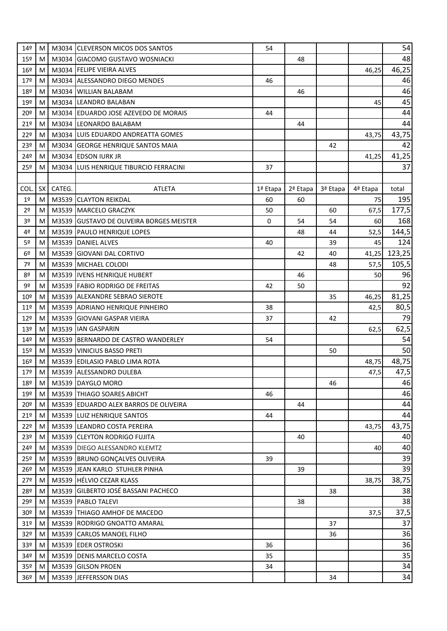| 14 <sup>°</sup> | M    |        | M3034 CLEVERSON MICOS DOS SANTOS         | 54       |          |          |          | 54     |
|-----------------|------|--------|------------------------------------------|----------|----------|----------|----------|--------|
| $15^{\circ}$    | M    |        | M3034 GIACOMO GUSTAVO WOSNIACKI          |          | 48       |          |          | 48     |
| 16º             | M    |        | M3034 FELIPE VIEIRA ALVES                |          |          |          | 46,25    | 46,25  |
| 17 <sup>°</sup> | M    |        | M3034 ALESSANDRO DIEGO MENDES            | 46       |          |          |          | 46     |
| 18º             | M    |        | M3034 WILLIAN BALABAM                    |          | 46       |          |          | 46     |
| 19º             | M    |        | M3034 LEANDRO BALABAN                    |          |          |          | 45       | 45     |
| 20º             | M    |        | M3034 EDUARDO JOSE AZEVEDO DE MORAIS     | 44       |          |          |          | 44     |
| 21°             | M    |        | M3034 LEONARDO BALABAM                   |          | 44       |          |          | 44     |
| 22º             | M    |        | M3034 LUIS EDUARDO ANDREATTA GOMES       |          |          |          | 43,75    | 43,75  |
| 23º             | M    |        | M3034 GEORGE HENRIQUE SANTOS MAIA        |          |          | 42       |          | 42     |
| 24º             | M    |        | M3034 EDSON IURK JR                      |          |          |          | 41,25    | 41,25  |
| 25º             | M    |        | M3034 LUIS HENRIQUE TIBURCIO FERRACINI   | 37       |          |          |          | 37     |
|                 |      |        |                                          |          |          |          |          |        |
| COL.            | SX I | CATEG. | <b>ATLETA</b>                            | 1ª Etapa | 2ª Etapa | 3ª Etapa | 4ª Etapa | total  |
| $1^{\sf o}$     | M    |        | M3539 CLAYTON REIKDAL                    | 60       | 60       |          | 75       | 195    |
| 2 <sup>o</sup>  | M    |        | M3539 MARCELO GRACZYK                    | 50       |          | 60       | 67,5     | 177,5  |
| 3 <sup>o</sup>  | M    |        | M3539 GUSTAVO DE OLIVEIRA BORGES MEISTER | 0        | 54       | 54       | 60       | 168    |
| 4º              | M    |        | M3539 PAULO HENRIQUE LOPES               |          | 48       | 44       | 52,5     | 144,5  |
| 5 <sup>o</sup>  | М    |        | M3539 DANIEL ALVES                       | 40       |          | 39       | 45       | 124    |
| 6 <sup>°</sup>  | M    |        | M3539 GIOVANI DAL CORTIVO                |          | 42       | 40       | 41,25    | 123,25 |
| 7º              | M    |        | M3539 MICHAEL COLODI                     |          |          | 48       | 57,5     | 105,5  |
| 8º              | M    |        | M3539   IVENS HENRIQUE HUBERT            |          | 46       |          | 50       | 96     |
| 9º              | M    |        | M3539 FABIO RODRIGO DE FREITAS           | 42       | 50       |          |          | 92     |
| 10 <sup>°</sup> | M    |        | M3539 ALEXANDRE SEBRAO SIEROTE           |          |          | 35       | 46,25    | 81,25  |
| 11 <sup>°</sup> | M    |        | M3539 ADRIANO HENRIQUE PINHEIRO          | 38       |          |          | 42,5     | 80,5   |
| 12 <sup>°</sup> | M    |        | M3539 GIOVANI GASPAR VIEIRA              | 37       |          | 42       |          | 79     |
| 13 <sup>°</sup> | M    |        | M3539 IAN GASPARIN                       |          |          |          | 62,5     | 62,5   |
| 14 <sup>°</sup> | M    |        | M3539 BERNARDO DE CASTRO WANDERLEY       | 54       |          |          |          | 54     |
| $15^{\circ}$    | M    |        | M3539 VINICIUS BASSO PRETI               |          |          | 50       |          | 50     |
| 16º             | M    |        | M3539 EDILASIO PABLO LIMA ROTA           |          |          |          | 48,75    | 48,75  |
| 179             | M    |        | M3539 ALESSANDRO DULEBA                  |          |          |          | 47,5     | 47,5   |
| 18º             | M    |        | M3539 DAYGLO MORO                        |          |          | 46       |          | 46     |
| 19º             | M    |        | M3539 THIAGO SOARES ABICHT               | 46       |          |          |          | 46     |
| 20º             | M    |        | M3539 EDUARDO ALEX BARROS DE OLIVEIRA    |          | 44       |          |          | 44     |
| 21°             | M    |        | M3539 LUIZ HENRIQUE SANTOS               | 44       |          |          |          | 44     |
| 22º             | M    |        | M3539 LEANDRO COSTA PEREIRA              |          |          |          | 43,75    | 43,75  |
| 23º             | M    |        | M3539 CLEYTON RODRIGO FUJITA             |          | 40       |          |          | 40     |
| 24º             | M    |        | M3539 DIEGO ALESSANDRO KLEMTZ            |          |          |          | 40       | 40     |
| 25º             | M    |        | M3539 BRUNO GONÇALVES OLIVEIRA           | 39       |          |          |          | 39     |
| $26^{\circ}$    | M    |        | M3539 JEAN KARLO STUHLER PINHA           |          | 39       |          |          | 39     |
| 279             | M    |        | M3539 HÉLVIO CEZAR KLASS                 |          |          |          | 38,75    | 38,75  |
| 28º             | M    |        | M3539 GILBERTO JOSÉ BASSANI PACHECO      |          |          | 38       |          | 38     |
| 29º             | M    |        | M3539 PABLO TALEVI                       |          | 38       |          |          | 38     |
| 30 <sup>°</sup> | M    |        | M3539 THIAGO AMHOF DE MACEDO             |          |          |          | 37,5     | 37,5   |
| 31 <sup>o</sup> | M    |        | M3539 RODRIGO GNOATTO AMARAL             |          |          | 37       |          | 37     |
| 32 <sup>o</sup> | M    |        | M3539 CARLOS MANOEL FILHO                |          |          | 36       |          | 36     |
| 33 <sup>°</sup> | M    |        | M3539 EDER OSTROSKI                      | 36       |          |          |          | 36     |
| 34º             | M    |        | M3539 DENIS MARCELO COSTA                | 35       |          |          |          | 35     |
| 35 <sup>o</sup> | M    |        | M3539 GILSON PROEN                       | 34       |          |          |          | 34     |
| 36 <sup>°</sup> | M    |        | M3539 JEFFERSSON DIAS                    |          |          | 34       |          | 34     |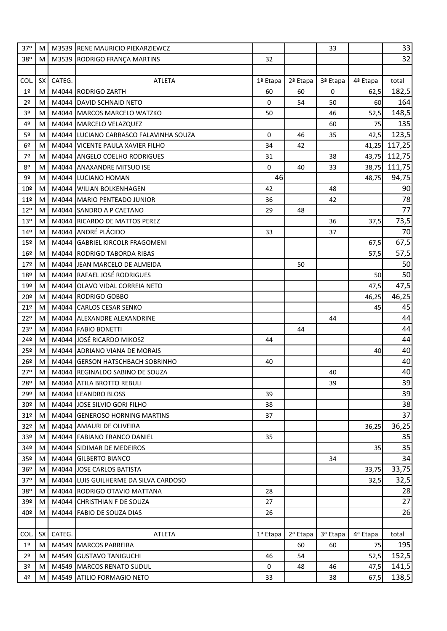| 37 <sup>°</sup> | M   |        | M3539 RENE MAURICIO PIEKARZIEWCZ       |            |          | 33       |          | 33     |
|-----------------|-----|--------|----------------------------------------|------------|----------|----------|----------|--------|
| 38º             | МI  |        | M3539 RODRIGO FRANÇA MARTINS           | 32         |          |          |          | 32     |
|                 |     |        |                                        |            |          |          |          |        |
| <b>COL</b>      | SX  | CATEG. | <b>ATLETA</b>                          | 1ª Etapa   | 2ª Etapa | 3ª Etapa | 4ª Etapa | total  |
| 1 <sup>°</sup>  | M   |        | M4044 RODRIGO ZARTH                    | 60         | 60       | 0        | 62,5     | 182,5  |
| 2 <sup>o</sup>  | M   |        | M4044 DAVID SCHNAID NETO               | 0          | 54       | 50       | 60       | 164    |
| 3 <sup>o</sup>  | M   |        | M4044 MARCOS MARCELO WATZKO            | 50         |          | 46       | 52,5     | 148,5  |
| 4º              | M   |        | M4044 MARCELO VELAZQUEZ                |            |          | 60       | 75       | 135    |
| 5 <sup>o</sup>  | M   |        | M4044 LUCIANO CARRASCO FALAVINHA SOUZA | 0          | 46       | 35       | 42,5     | 123,5  |
| 6 <sup>°</sup>  | M   |        | M4044 VICENTE PAULA XAVIER FILHO       | 34         | 42       |          | 41,25    | 117,25 |
| 7º              | M   |        | M4044 ANGELO COELHO RODRIGUES          | 31         |          | 38       | 43,75    | 112,75 |
| 8º              | M   | M4044  | <b>ANAXANDRE MITSUO ISE</b>            | 0          | 40       | 33       | 38,75    | 111,75 |
| 9º              | M   | M4044  | LUCIANO HOMAN                          | 46         |          |          | 48,75    | 94,75  |
| 10 <sup>°</sup> | M   |        | M4044 WILIAN BOLKENHAGEN               | 42         |          | 48       |          | 90     |
| 11 <sup>°</sup> | M   |        | M4044 MARIO PENTEADO JUNIOR            | 36         |          | 42       |          | 78     |
| 12º             | M   |        | M4044 SANDRO A P CAETANO               | 29         | 48       |          |          | 77     |
| 13º             | M   |        | M4044 RICARDO DE MATTOS PEREZ          |            |          | 36       | 37,5     | 73,5   |
| 14 <sup>°</sup> | M   |        | M4044 ANDRÉ PLÁCIDO                    | 33         |          | 37       |          | 70     |
| 15 <sup>o</sup> | M   |        | M4044 GABRIEL KIRCOLR FRAGOMENI        |            |          |          | 67,5     | 67,5   |
| $16^{\circ}$    | M   |        | M4044 RODRIGO TABORDA RIBAS            |            |          |          | 57,5     | 57,5   |
| 179             | M   |        | M4044 JEAN MARCELO DE ALMEIDA          |            | 50       |          |          | 50     |
| 18º             | M   |        | M4044 RAFAEL JOSÉ RODRIGUES            |            |          |          | 50       | 50     |
| 19º             | M   |        | M4044 OLAVO VIDAL CORREIA NETO         |            |          |          | 47,5     | 47,5   |
| $20^{\circ}$    | M   |        | M4044 RODRIGO GOBBO                    |            |          |          | 46,25    | 46,25  |
| 21°             | M   |        | M4044 CARLOS CESAR SENKO               |            |          |          | 45       | 45     |
| 22º             | M   |        | M4044 ALEXANDRE ALEXANDRINE            |            |          | 44       |          | 44     |
| 23º             | M   |        | M4044 FABIO BONETTI                    |            | 44       |          |          | 44     |
| 24º             | M   |        | M4044 JOSÉ RICARDO MIKOSZ              | 44         |          |          |          | 44     |
| 25º             | M   |        | M4044 ADRIANO VIANA DE MORAIS          |            |          |          | 40       | 40     |
| 26º             | M   |        | M4044 GERSON HATSCHBACH SOBRINHO       | 40         |          |          |          | 40     |
| 27º             | M   |        | M4044 REGINALDO SABINO DE SOUZA        |            |          | 40       |          | 40     |
| 28º             | M   |        | M4044 ATILA BROTTO REBULI              |            |          | 39       |          | 39     |
| 29º             | M   |        | M4044 LEANDRO BLOSS                    | 39         |          |          |          | 39     |
| 30 <sup>°</sup> | M I |        | M4044 JOSE SILVIO GORI FILHO           | 38         |          |          |          | 38     |
| 31 <sup>°</sup> | M   |        | M4044 GENEROSO HORNING MARTINS         | 37         |          |          |          | 37     |
| 32 <sup>o</sup> | M   |        | M4044 AMAURI DE OLIVEIRA               |            |          |          | 36,25    | 36,25  |
| 33 <sup>°</sup> | M   |        | M4044 FABIANO FRANCO DANIEL            | 35         |          |          |          | 35     |
| 34º             | M   |        | M4044 SIDIMAR DE MEDEIROS              |            |          |          | 35       | 35     |
| 35 <sup>o</sup> | M   |        | M4044 GILBERTO BIANCO                  |            |          | 34       |          | 34     |
| 36º             | M   |        | M4044 JOSE CARLOS BATISTA              |            |          |          | 33,75    | 33,75  |
| 37 <sup>°</sup> | M   |        | M4044 LUIS GUILHERME DA SILVA CARDOSO  |            |          |          | 32,5     | 32,5   |
| 38º             | M   |        | M4044 RODRIGO OTAVIO MATTANA           | 28         |          |          |          | 28     |
| 39 <sup>°</sup> | M   |        | M4044 CHRISTHIAN F DE SOUZA            | 27         |          |          |          | 27     |
| 40º             | M   |        | M4044 FABIO DE SOUZA DIAS              | 26         |          |          |          | 26     |
|                 |     |        |                                        |            |          |          |          |        |
| COL.            | SX  | CATEG. | ATLETA                                 | $1a$ Etapa | 2ª Etapa | 3ª Etapa | 4ª Etapa | total  |
| 1 <sup>°</sup>  | M   |        | M4549 MARCOS PARREIRA                  |            | 60       | 60       | 75       | 195    |
| 2 <sup>o</sup>  | M   |        | M4549 GUSTAVO TANIGUCHI                | 46         | 54       |          | 52,5     | 152,5  |
| 3 <sup>o</sup>  | M   |        | M4549 MARCOS RENATO SUDUL              | 0          | 48       | 46       | 47,5     | 141,5  |
| 4º              | M   | M4549  | ATILIO FORMAGIO NETO                   | 33         |          | 38       | 67,5     | 138,5  |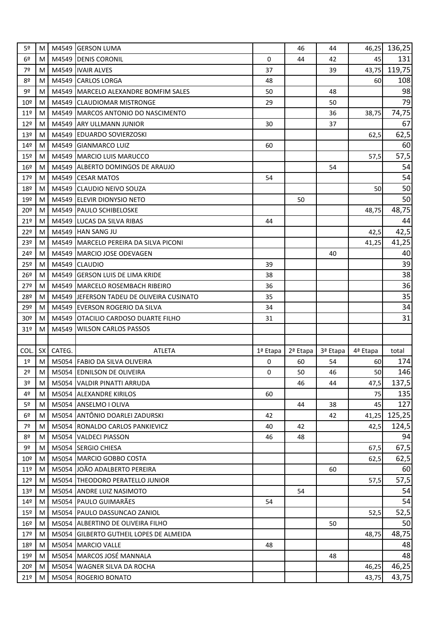| 5º              | M    |        | M4549 GERSON LUMA                         |          | 46       | 44       | 46,25    | 136,25         |
|-----------------|------|--------|-------------------------------------------|----------|----------|----------|----------|----------------|
| 6 <sup>°</sup>  | МI   |        | M4549 DENIS CORONIL                       | $\Omega$ | 44       | 42       | 45       | 131            |
| 7º              | M    |        | M4549 IVAIR ALVES                         | 37       |          | 39       | 43,75    | 119,75         |
| 8º              | M    |        | M4549 CARLOS LORGA                        | 48       |          |          | 60       | 108            |
| 9º              | M    |        | M4549 MARCELO ALEXANDRE BOMFIM SALES      | 50       |          | 48       |          | 98             |
| $10^{o}$        | M    |        | M4549 CLAUDIOMAR MISTRONGE                | 29       |          | 50       |          | 79             |
| 11 <sup>°</sup> | M    |        | M4549 MARCOS ANTONIO DO NASCIMENTO        |          |          | 36       | 38,75    | 74,75          |
| 12 <sup>°</sup> | M    |        | M4549 ARY ULLMANN JUNIOR                  | 30       |          | 37       |          | 67             |
| 13 <sup>°</sup> | M    |        | M4549 EDUARDO SOVIERZOSKI                 |          |          |          | 62,5     | 62,5           |
| 14º             | M    |        | M4549 GIANMARCO LUIZ                      | 60       |          |          |          | 60             |
| $15^{\circ}$    | M    |        | M4549 MARCIO LUIS MARUCCO                 |          |          |          | 57,5     | 57,5           |
| 16 <sup>°</sup> | M    |        | M4549 ALBERTO DOMINGOS DE ARAUJO          |          |          | 54       |          | 54             |
| 179             | M    |        | M4549 CESAR MATOS                         | 54       |          |          |          | 54             |
| 18º             | M    |        | M4549 CLAUDIO NEIVO SOUZA                 |          |          |          | 50       | 50             |
| 19º             | M    |        | M4549 ELEVIR DIONYSIO NETO                |          | 50       |          |          | 50             |
| 20º             | M    |        | M4549   PAULO SCHIBELOSKE                 |          |          |          | 48,75    | 48,75          |
| 21°             | M    |        | M4549 LUCAS DA SILVA RIBAS                | 44       |          |          |          | 44             |
| 22º             | M    |        | M4549 HAN SANG JU                         |          |          |          | 42,5     | 42,5           |
| 23º             | M    |        | M4549 MARCELO PEREIRA DA SILVA PICONI     |          |          |          | 41,25    | 41,25          |
| 24º             | M    |        | M4549 MARCIO JOSE ODEVAGEN                |          |          | 40       |          | 40             |
| 25º             | M    |        | M4549 CLAUDIO                             | 39       |          |          |          | 39             |
| 26 <sup>°</sup> | M    |        | M4549 GERSON LUIS DE LIMA KRIDE           | 38       |          |          |          | 38             |
| 27º             | M    |        | M4549 MARCELO ROSEMBACH RIBEIRO           | 36       |          |          |          | 36             |
| 28º             | M    |        | M4549 JEFERSON TADEU DE OLIVEIRA CUSINATO | 35       |          |          |          | 35             |
| 29º             | M    |        | M4549 EVERSON ROGERIO DA SILVA            | 34       |          |          |          | 34             |
| 30 <sup>o</sup> | M    |        | M4549 OTACILIO CARDOSO DUARTE FILHO       | 31       |          |          |          | 31             |
| 31 <sup>°</sup> | M    |        | M4549 WILSON CARLOS PASSOS                |          |          |          |          |                |
|                 |      |        |                                           |          |          |          |          |                |
| <b>COL</b>      | SX I | CATEG. | <b>ATLETA</b>                             | 1ª Etapa | 2ª Etapa | 3ª Etapa | 4ª Etapa | total          |
| $1^{\sf o}$     | M    |        | M5054 FABIO DA SILVA OLIVEIRA             | 0        | 60       | 54       | 60       | 174            |
| 2 <sup>o</sup>  | M    |        | M5054 EDNILSON DE OLIVEIRA                | 0        | 50       | 46       | 50       | 146            |
| 3 <sup>o</sup>  | M    |        | M5054 VALDIR PINATTI ARRUDA               |          | 46       | 44       | 47,5     | 137,5          |
| 4º              | M    |        | M5054 ALEXANDRE KIRILOS                   | 60       |          |          | 75       | 135            |
| 5 <sup>o</sup>  | M l  |        | M5054 ANSELMO I OLIVA                     |          | 44       | 38       | 45       | 127            |
| 6 <sup>°</sup>  | M    |        | M5054 ANTÔNIO DOARLEI ZADURSKI            | 42       |          | 42       | 41,25    | 125,25         |
| 7º              | M    |        | M5054 RONALDO CARLOS PANKIEVICZ           | 40       | 42       |          | 42,5     | 124,5          |
| 8º              | ΜI   |        | M5054 VALDECI PIASSON                     | 46       | 48       |          |          | 94             |
| 9º              | M    |        | M5054 SERGIO CHIESA                       |          |          |          | 67,5     | 67,5           |
| 10 <sup>°</sup> | МI   |        | M5054 MARCIO GOBBO COSTA                  |          |          |          | 62,5     | 62,5           |
| 11 <sup>°</sup> | M    |        | M5054 JOÃO ADALBERTO PEREIRA              |          |          | 60       |          | 60             |
| 12 <sup>°</sup> | МI   |        | M5054 THEODORO PERATELLO JUNIOR           |          |          |          | 57,5     | 57,5           |
| 13 <sup>°</sup> | МI   |        | M5054 ANDRE LUIZ NASIMOTO                 |          | 54       |          |          | 54             |
| 14 <sup>°</sup> | M    |        | M5054 PAULO GUIMARÃES                     | 54       |          |          |          | 54             |
| $15^{\circ}$    | M I  |        | M5054 PAULO DASSUNCAO ZANIOL              |          |          |          | 52,5     | 52,5           |
| $16^{\circ}$    | M    |        | M5054 ALBERTINO DE OLIVEIRA FILHO         |          |          | 50       |          | 50             |
| 179             | МI   |        | M5054 GILBERTO GUTHEIL LOPES DE ALMEIDA   |          |          |          | 48,75    | 48,75          |
| 18º             | МI   |        | M5054 MARCIO VALLE                        | 48       |          |          |          | 48             |
| 19º             | M    |        | M5054 MARCOS JOSÉ MANNALA                 |          |          | 48       |          | 48             |
| 20 <sup>o</sup> |      |        |                                           |          |          |          |          |                |
|                 | MI   |        | M5054 WAGNER SILVA DA ROCHA               |          |          |          | 46,25    | 46,25<br>43,75 |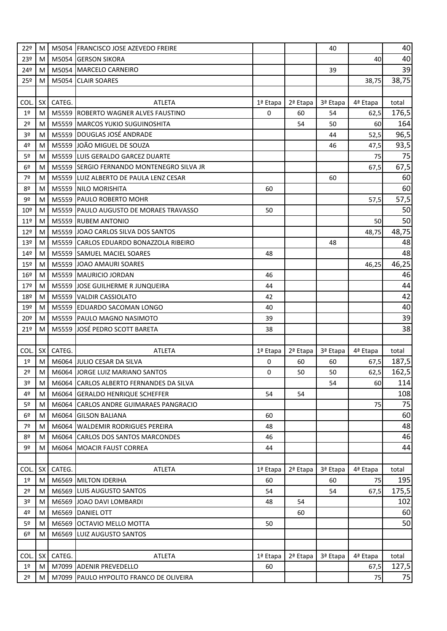| 22º             | M               |        | M5054 FRANCISCO JOSE AZEVEDO FREIRE       |          |          | 40       |          | 40    |
|-----------------|-----------------|--------|-------------------------------------------|----------|----------|----------|----------|-------|
| 23º             | МI              |        | M5054 GERSON SIKORA                       |          |          |          | 40       | 40    |
| 24º             | M               |        | M5054 MARCELO CARNEIRO                    |          |          | 39       |          | 39    |
| 25º             | M               |        | M5054 CLAIR SOARES                        |          |          |          | 38,75    | 38,75 |
|                 |                 |        |                                           |          |          |          |          |       |
| <b>COL</b>      | SX I            | CATEG. | <b>ATLETA</b>                             | 1ª Etapa | 2ª Etapa | 3ª Etapa | 4ª Etapa | total |
| 1 <sup>°</sup>  | M               |        | M5559 ROBERTO WAGNER ALVES FAUSTINO       | $\Omega$ | 60       | 54       | 62,5     | 176,5 |
| 2 <sup>o</sup>  | M               |        | M5559 MARCOS YUKIO SUGUINOSHITA           |          | 54       | 50       | 60       | 164   |
| 3º              | M               |        | M5559 DOUGLAS JOSÉ ANDRADE                |          |          | 44       | 52,5     | 96,5  |
| 4º              | M               |        | M5559 JOÃO MIGUEL DE SOUZA                |          |          | 46       | 47,5     | 93,5  |
| 5º              | M               |        | M5559 LUIS GERALDO GARCEZ DUARTE          |          |          |          | 75       | 75    |
| 6 <sup>°</sup>  | M               |        | M5559 SERGIO FERNANDO MONTENEGRO SILVA JR |          |          |          | 67,5     | 67,5  |
| 7º              | M               |        | M5559 LUIZ ALBERTO DE PAULA LENZ CESAR    |          |          | 60       |          | 60    |
| 8º              | M               |        | M5559 NILO MORISHITA                      | 60       |          |          |          | 60    |
| 9º              | M               |        | M5559 PAULO ROBERTO MOHR                  |          |          |          | 57,5     | 57,5  |
| 10º             | M               |        | M5559 PAULO AUGUSTO DE MORAES TRAVASSO    | 50       |          |          |          | 50    |
| 11 <sup>°</sup> | M               |        | M5559 RUBEM ANTONIO                       |          |          |          | 50       | 50    |
| 12°             | M               |        | M5559 JOAO CARLOS SILVA DOS SANTOS        |          |          |          | 48,75    | 48,75 |
| 13º             | M               |        | M5559 CARLOS EDUARDO BONAZZOLA RIBEIRO    |          |          | 48       |          | 48    |
| 14º             | M               |        | M5559 SAMUEL MACIEL SOARES                | 48       |          |          |          | 48    |
| 15 <sup>°</sup> | M               |        | M5559 JOAO AMAURI SOARES                  |          |          |          | 46,25    | 46,25 |
| 16 <sup>°</sup> | M               |        | M5559 MAURICIO JORDAN                     | 46       |          |          |          | 46    |
| 179             | M               |        | M5559 JOSE GUILHERME R JUNQUEIRA          | 44       |          |          |          | 44    |
| 18º             | M               |        | M5559 VALDIR CASSIOLATO                   | 42       |          |          |          | 42    |
| 19º             | M               |        | M5559 EDUARDO SACOMAN LONGO               | 40       |          |          |          | 40    |
| 20º             | M               |        | M5559 PAULO MAGNO NASIMOTO                | 39       |          |          |          | 39    |
| 21°             | M               |        | M5559 JOSÉ PEDRO SCOTT BARETA             | 38       |          |          |          | 38    |
|                 |                 |        |                                           |          |          |          |          |       |
| <b>COL</b>      | SX <sup>I</sup> | CATEG. | <b>ATLETA</b>                             | 1ª Etapa | 2ª Etapa | 3ª Etapa | 4ª Etapa | total |
| 1 <sup>°</sup>  | M               |        | M6064 JULIO CESAR DA SILVA                | 0        | 60       | 60       | 67,5     | 187,5 |
| 2 <sup>o</sup>  | M               |        | M6064 JORGE LUIZ MARIANO SANTOS           | 0        | 50       | 50       | 62,5     | 162,5 |
| 3 <sup>o</sup>  | M               |        | M6064 CARLOS ALBERTO FERNANDES DA SILVA   |          |          | 54       | 60       | 114   |
| 4º              | M               |        | M6064 GERALDO HENRIQUE SCHEFFER           | 54       | 54       |          |          | 108   |
| 5 <sup>o</sup>  | МI              |        | M6064 CARLOS ANDRE GUIMARAES PANGRACIO    |          |          |          | 75       | 75    |
| 6 <sup>°</sup>  | M               | M6064  | <b>GILSON BALIANA</b>                     | 60       |          |          |          | 60    |
| 7º              | M               |        | M6064 WALDEMIR RODRIGUES PEREIRA          | 48       |          |          |          | 48    |
| 8º              | M               |        | M6064 CARLOS DOS SANTOS MARCONDES         | 46       |          |          |          | 46    |
| 9º              | M               |        | M6064 MOACIR FAUST CORREA                 | 44       |          |          |          | 44    |
|                 |                 |        |                                           |          |          |          |          |       |
| COL.            | SX              | CATEG. | ATLETA                                    | 1ª Etapa | 2ª Etapa | 3ª Etapa | 4ª Etapa | total |
| 1 <sup>°</sup>  | M               |        | M6569 MILTON IDERIHA                      | 60       |          | 60       | 75       | 195   |
| 2 <sup>o</sup>  | МI              |        | M6569 LUIS AUGUSTO SANTOS                 | 54       |          | 54       | 67,5     | 175,5 |
| 3º              | M               |        | M6569 JOAO DAVI LOMBARDI                  | 48       | 54       |          |          | 102   |
| 4º              | M               |        | M6569 DANIEL OTT                          |          | 60       |          |          | 60    |
| 5 <sup>o</sup>  | M               |        | M6569 OCTAVIO MELLO MOTTA                 | 50       |          |          |          | 50    |
| 6 <sup>°</sup>  | M               |        | M6569 LUIZ AUGUSTO SANTOS                 |          |          |          |          |       |
|                 |                 |        |                                           |          |          |          |          |       |
| COL.            | <b>SX</b>       | CATEG. | ATLETA                                    | 1ª Etapa | 2ª Etapa | 3ª Etapa | 4ª Etapa | total |
| 1 <sup>°</sup>  | M               |        | M7099 ADENIR PREVEDELLO                   | 60       |          |          | 67,5     | 127,5 |
| 2 <sup>o</sup>  | M I             |        | M7099   PAULO HYPOLITO FRANCO DE OLIVEIRA |          |          |          | 75       | 75    |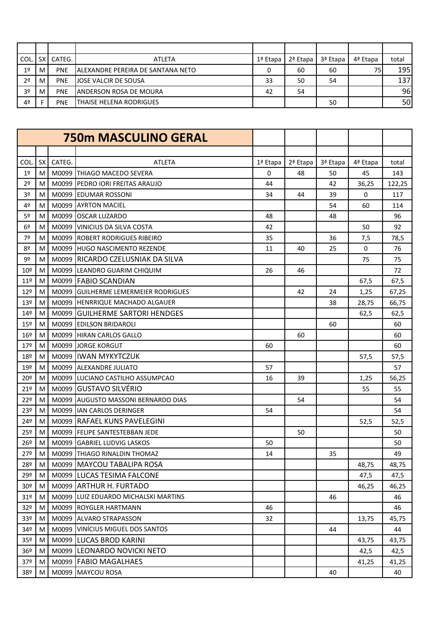| COL            | SX I | CATEG.     | <b>ATLETA</b>                      | 1ª Etapa | $2a$ Etapa | 3ª Etapa | 4ª Etapa | total |
|----------------|------|------------|------------------------------------|----------|------------|----------|----------|-------|
| 1 <sup>°</sup> | M    | <b>PNE</b> | IALEXANDRE PEREIRA DE SANTANA NETO | 0        | 60         | 60       | 75       | 195   |
| 2 <sup>0</sup> | M    | <b>PNE</b> | <b>JOSE VALCIR DE SOUSA</b>        | 33       | 50         | 54       |          | 137   |
| 3 <sup>o</sup> | M    | <b>PNE</b> | <b>ANDERSON ROSA DE MOURA</b>      | 42       | 54         |          |          | 96    |
| 4º             |      | <b>PNE</b> | <b>THAISE HELENA RODRIGUES</b>     |          |            | 50       |          | 50    |

|                 |                 |        | <b>750m MASCULINO GERAL</b>           |          |          |          |          |        |
|-----------------|-----------------|--------|---------------------------------------|----------|----------|----------|----------|--------|
|                 |                 |        |                                       |          |          |          |          |        |
| COL.            | SX <sup>I</sup> | CATEG. | <b>ATLETA</b>                         | 1ª Etapa | 2ª Etapa | 3ª Etapa | 4ª Etapa | total  |
| 1 <sup>°</sup>  | M               | M0099  | THIAGO MACEDO SEVERA                  | 0        | 48       | 50       | 45       | 143    |
| 2 <sup>o</sup>  | M               |        | M0099 PEDRO JORI FREITAS ARAUJO       | 44       |          | 42       | 36,25    | 122,25 |
| 3º              | M               |        | M0099 EDUMAR ROSSONI                  | 34       | 44       | 39       | 0        | 117    |
| 4º              | M               |        | M0099 AYRTON MACIEL                   |          |          | 54       | 60       | 114    |
| 5º              | M               |        | M0099 OSCAR LUZARDO                   | 48       |          | 48       |          | 96     |
| 6 <sup>°</sup>  | M               | M0099  | <b>VINICIUS DA SILVA COSTA</b>        | 42       |          |          | 50       | 92     |
| 7º              | M               |        | M0099 ROBERT RODRIGUES RIBEIRO        | 35       |          | 36       | 7,5      | 78,5   |
| 8º              | M               |        | M0099 HUGO NASCIMENTO REZENDE         | 11       | 40       | 25       | 0        | 76     |
| 9º              | M               |        | M0099 RICARDO CZELUSNIAK DA SILVA     |          |          |          | 75       | 75     |
| 10 <sup>°</sup> | M               |        | M0099 LEANDRO GUARIM CHIQUIM          | 26       | 46       |          |          | 72     |
| 11 <sup>°</sup> | M               |        | M0099 FABIO SCANDIAN                  |          |          |          | 67,5     | 67,5   |
| 12 <sup>°</sup> | M               | M0099  | <b>GUILHERME LEMERMEIER RODRIGUES</b> |          | 42       | 24       | 1,25     | 67,25  |
| 13º             | M               |        | M0099 HENRRIQUE MACHADO ALGAUER       |          |          | 38       | 28,75    | 66,75  |
| 14 <sup>°</sup> | M               |        | M0099 GUILHERME SARTORI HENDGES       |          |          |          | 62,5     | 62,5   |
| 15º             | M               |        | M0099 EDILSON BRIDAROLI               |          |          | 60       |          | 60     |
| 16º             | M               |        | M0099 HIRAN CARLOS GALLO              |          | 60       |          |          | 60     |
| 17 <sup>°</sup> | M               |        | M0099 JORGE KORGUT                    | 60       |          |          |          | 60     |
| 18º             | M               |        | M0099 IWAN MYKYTCZUK                  |          |          |          | 57,5     | 57,5   |
| 19º             | M               |        | M0099 ALEXANDRE JULIATO               | 57       |          |          |          | 57     |
| 20º             | M               |        | M0099 LUCIANO CASTILHO ASSUMPCAO      | 16       | 39       |          | 1,25     | 56,25  |
| 21º             | M               | M0099  | <b>GUSTAVO SILVÉRIO</b>               |          |          |          | 55       | 55     |
| 22 <sup>°</sup> | M               |        | M0099 AUGUSTO MASSONI BERNARDO DIAS   |          | 54       |          |          | 54     |
| 23º             | M               |        | M0099 IAN CARLOS DERINGER             | 54       |          |          |          | 54     |
| 24º             | M               |        | M0099 RAFAEL KUNS PAVELEGINI          |          |          |          | 52,5     | 52,5   |
| 25º             | M               |        | M0099 FELIPE SANTESTEBBAN JEDE        |          | 50       |          |          | 50     |
| 26º             | M               |        | M0099 GABRIEL LUDVIG LASKOS           | 50       |          |          |          | 50     |
| 27º             | M               |        | M0099 THIAGO RINALDIN THOMAZ          | 14       |          | 35       |          | 49     |
| 28º             | M               |        | M0099 MAYCOU TABALIPA ROSA            |          |          |          | 48,75    | 48,75  |
| 29º             | M               |        | M0099 LUCAS TESIMA FALCONE            |          |          |          | 47,5     | 47,5   |
| 30 <sup>°</sup> | M I             |        | M0099 ARTHUR H. FURTADO               |          |          |          | 46,25    | 46,25  |
| 31 <sup>°</sup> | M               | M0099  | LUIZ EDUARDO MICHALSKI MARTINS        |          |          | 46       |          | 46     |
| 32 <sup>o</sup> | M               |        | M0099 ROYGLER HARTMANN                | 46       |          |          |          | 46     |
| 33 <sup>°</sup> | M               |        | M0099 ALVARO STRAPASSON               | 32       |          |          | 13,75    | 45,75  |
| 34º             | M               |        | M0099 VINÍCIUS MIGUEL DOS SANTOS      |          |          | 44       |          | 44     |
| 35 <sup>o</sup> | M               |        | M0099 LUCAS BROD KARINI               |          |          |          | 43,75    | 43,75  |
| 36 <sup>°</sup> | M               | M0099  | LEONARDO NOVICKI NETO                 |          |          |          | 42,5     | 42,5   |
| 37 <sup>°</sup> | M               |        | M0099   FABIO MAGALHAES               |          |          |          | 41,25    | 41,25  |
| 38º             | M               | M0099  | <b>MAYCOU ROSA</b>                    |          |          | 40       |          | 40     |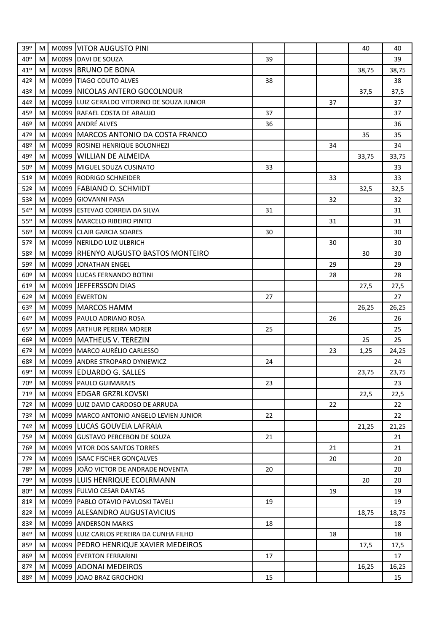| 39º             | м | M0099 VITOR AUGUSTO PINI                    |    |    | 40    | 40    |
|-----------------|---|---------------------------------------------|----|----|-------|-------|
| 40º             | M | M0099 DAVI DE SOUZA                         | 39 |    |       | 39    |
| 41º             | М | M0099 BRUNO DE BONA                         |    |    | 38,75 | 38,75 |
| 42º             | М | M0099 TIAGO COUTO ALVES                     | 38 |    |       | 38    |
| 43º             | м | M0099 NICOLAS ANTERO GOCOLNOUR              |    |    | 37,5  | 37,5  |
| 44º             | М | M0099 LUIZ GERALDO VITORINO DE SOUZA JUNIOR |    | 37 |       | 37    |
| 45º             | м | M0099 RAFAEL COSTA DE ARAUJO                | 37 |    |       | 37    |
| 46º             | М | M0099 ANDRÉ ALVES                           | 36 |    |       | 36    |
| 47º             | М | M0099 MARCOS ANTONIO DA COSTA FRANCO        |    |    | 35    | 35    |
| 48º             | M | M0099 ROSINEI HENRIQUE BOLONHEZI            |    | 34 |       | 34    |
| 49º             | М | M0099 WILLIAN DE ALMEIDA                    |    |    | 33,75 | 33,75 |
| 50º             | M | M0099 MIGUEL SOUZA CUSINATO                 | 33 |    |       | 33    |
| 51 <sup>°</sup> | М | M0099 RODRIGO SCHNEIDER                     |    | 33 |       | 33    |
| 52º             | М | M0099 FABIANO O. SCHMIDT                    |    |    | 32,5  | 32,5  |
| 53º             | M | M0099 GIOVANNI PASA                         |    | 32 |       | 32    |
| 54º             | М | M0099 ESTEVAO CORREIA DA SILVA              | 31 |    |       | 31    |
| 55º             | M | M0099 MARCELO RIBEIRO PINTO                 |    | 31 |       | 31    |
| 56º             | М | M0099 CLAIR GARCIA SOARES                   | 30 |    |       | 30    |
| 57º             | м | M0099 NERILDO LUIZ ULBRICH                  |    | 30 |       | 30    |
| 58º             | M | M0099 RHENYO AUGUSTO BASTOS MONTEIRO        |    |    | 30    | 30    |
| 59º             | М | M0099 JONATHAN ENGEL                        |    | 29 |       | 29    |
| 60º             | м | M0099 LUCAS FERNANDO BOTINI                 |    | 28 |       | 28    |
| 61º             | М | M0099 JEFFERSSON DIAS                       |    |    | 27,5  | 27,5  |
| 62°             | м | M0099 EWERTON                               | 27 |    |       | 27    |
| 63º             | M | M0099 MARCOS HAMM                           |    |    | 26,25 | 26,25 |
| 64º             | М | M0099 PAULO ADRIANO ROSA                    |    | 26 |       | 26    |
| 65º             | М | M0099 ARTHUR PEREIRA MORER                  | 25 |    |       | 25    |
| 66º             | M | M0099 MATHEUS V. TEREZIN                    |    |    | 25    | 25    |
| 67º             | м | M0099 MARCO AURÉLIO CARLESSO                |    | 23 | 1,25  | 24,25 |
| 68º             | M | M0099 ANDRE STROPARO DYNIEWICZ              | 24 |    |       | 24    |
| 69º             | м | M0099 EDUARDO G. SALLES                     |    |    | 23,75 | 23,75 |
| 70º             | M | M0099 PAULO GUIMARAES                       | 23 |    |       | 23    |
| 71º             | M | M0099 EDGAR GRZRLKOVSKI                     |    |    | 22,5  | 22,5  |
| 72º             | M | M0099 LUIZ DAVID CARDOSO DE ARRUDA          |    | 22 |       | 22    |
| 73º             | M | M0099 MARCO ANTONIO ANGELO LEVIEN JUNIOR    | 22 |    |       | 22    |
| 74º             | М | M0099 LUCAS GOUVEIA LAFRAIA                 |    |    | 21,25 | 21,25 |
| 75º             | M | M0099 GUSTAVO PERCEBON DE SOUZA             | 21 |    |       | 21    |
| 76º             | М | M0099 VITOR DOS SANTOS TORRES               |    | 21 |       | 21    |
| 77º             | M | M0099 ISAAC FISCHER GONÇALVES               |    | 20 |       | 20    |
| 78º             | M | M0099 JOÃO VICTOR DE ANDRADE NOVENTA        | 20 |    |       | 20    |
| 79º             | М | M0099 LUIS HENRIQUE ECOLRMANN               |    |    | 20    | 20    |
| 80º             | м | M0099 FULVIO CESAR DANTAS                   |    | 19 |       | 19    |
| 81°             | M | M0099 PABLO OTAVIO PAVLOSKI TAVELI          | 19 |    |       | 19    |
| 82º             | M | M0099 ALESANDRO AUGUSTAVICIUS               |    |    | 18,75 | 18,75 |
| 83º             | M | M0099 ANDERSON MARKS                        | 18 |    |       | 18    |
| 84º             | М | M0099 LUIZ CARLOS PEREIRA DA CUNHA FILHO    |    | 18 |       | 18    |
| 85º             | м | M0099 PEDRO HENRIQUE XAVIER MEDEIROS        |    |    | 17,5  | 17,5  |
| 86º             | М | M0099 EVERTON FERRARINI                     | 17 |    |       | 17    |
| 87º             | M | M0099 ADONAI MEDEIROS                       |    |    | 16,25 | 16,25 |
| 88º             | M | M0099 JOAO BRAZ GROCHOKI                    | 15 |    |       | 15    |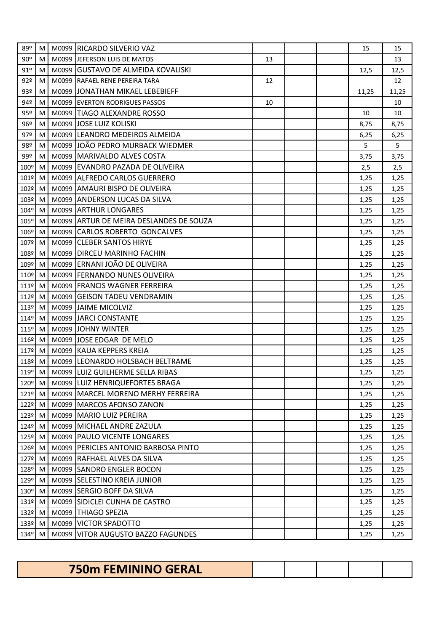| 89º                | M   |       | M0099 RICARDO SILVERIO VAZ              |    |  | 15    | 15    |
|--------------------|-----|-------|-----------------------------------------|----|--|-------|-------|
| 90º                | M   |       | M0099 JEFERSON LUIS DE MATOS            | 13 |  |       | 13    |
| 91º                | М   |       | M0099 GUSTAVO DE ALMEIDA KOVALISKI      |    |  | 12,5  | 12,5  |
| 92 <sup>°</sup>    | M   |       | M0099 RAFAEL RENE PEREIRA TARA          | 12 |  |       | 12    |
| 93º                | M   | M0099 | JONATHAN MIKAEL LEBEBIEFF               |    |  | 11,25 | 11,25 |
| 94º                | M   |       | M0099 EVERTON RODRIGUES PASSOS          | 10 |  |       | 10    |
| 95º                | M   |       | M0099 TIAGO ALEXANDRE ROSSO             |    |  | 10    | 10    |
| 96º                | М   |       | M0099 JJOSE LUIZ KOLISKI                |    |  | 8,75  | 8,75  |
| 97º                | M   |       | M0099 LEANDRO MEDEIROS ALMEIDA          |    |  | 6,25  | 6,25  |
| 98º                | M   |       | M0099 JJOÃO PEDRO MURBACK WIEDMER       |    |  | 5.    | 5     |
| 99º                | M   |       | M0099 MARIVALDO ALVES COSTA             |    |  | 3,75  | 3,75  |
| 100º               | M   |       | M0099 EVANDRO PAZADA DE OLIVEIRA        |    |  | 2,5   | 2,5   |
| 101º               | M   |       | M0099 ALFREDO CARLOS GUERRERO           |    |  | 1,25  | 1,25  |
| 102º M             |     |       | M0099 AMAURI BISPO DE OLIVEIRA          |    |  | 1,25  | 1,25  |
| 103º M             |     |       | M0099 ANDERSON LUCAS DA SILVA           |    |  | 1,25  | 1,25  |
| 104º               | M   |       | M0099 ARTHUR LONGARES                   |    |  | 1,25  | 1,25  |
| 105º               | M   |       | M0099 ARTUR DE MEIRA DESLANDES DE SOUZA |    |  | 1,25  | 1,25  |
| 106º               | M   |       | M0099 CARLOS ROBERTO GONCALVES          |    |  | 1,25  | 1,25  |
| 107º M             |     |       | M0099 CLEBER SANTOS HIRYE               |    |  | 1,25  | 1,25  |
| 108º M             |     |       | M0099 DIRCEU MARINHO FACHIN             |    |  | 1,25  | 1,25  |
| 109º               | M   |       | M0099 ERNANI JOÃO DE OLIVEIRA           |    |  | 1,25  | 1,25  |
| 110º               | M   |       | M0099 FERNANDO NUNES OLIVEIRA           |    |  | 1,25  | 1,25  |
| $111°$ M           |     |       | M0099 FRANCIS WAGNER FERREIRA           |    |  | 1,25  | 1,25  |
| 112º M             |     |       | M0099 GEISON TADEU VENDRAMIN            |    |  | 1,25  | 1,25  |
| $113°$ M           |     |       | M0099 JAIME MICOLVIZ                    |    |  | 1,25  | 1,25  |
| 114º               | M   |       | M0099 JARCI CONSTANTE                   |    |  | 1,25  | 1,25  |
| 115º               | l M |       | M0099 JOHNY WINTER                      |    |  | 1,25  | 1,25  |
| 116º               | M   |       | M0099 JJOSE EDGAR DE MELO               |    |  | 1,25  | 1,25  |
| 117º M             |     |       | M0099 KAUA KEPPERS KREIA                |    |  | 1,25  | 1,25  |
| 118º               | M   |       | M0099 LEONARDO HOLSBACH BELTRAME        |    |  | 1,25  | 1,25  |
| 119º               | M   |       | M0099 LUIZ GUILHERME SELLA RIBAS        |    |  | 1,25  | 1,25  |
| 120 <sup>o</sup> M |     |       | M0099 LUIZ HENRIQUEFORTES BRAGA         |    |  | 1,25  | 1,25  |
| $121^{\circ}$ M    |     |       | M0099 MARCEL MORENO MERHY FERREIRA      |    |  | 1,25  | 1,25  |
| 122º M             |     |       | M0099 IMARCOS AFONSO ZANON              |    |  | 1,25  | 1,25  |
| 123º               | M   |       | M0099 MARIO LUIZ PEREIRA                |    |  | 1,25  | 1,25  |
| 124º               | M   |       | M0099 MICHAEL ANDRE ZAZULA              |    |  | 1,25  | 1,25  |
| 125º M             |     |       | M0099   PAULO VICENTE LONGARES          |    |  | 1,25  | 1,25  |
| 126º               | M   |       | M0099 PERICLES ANTONIO BARBOSA PINTO    |    |  | 1,25  | 1,25  |
| 127º M             |     |       | M0099 RAFHAEL ALVES DA SILVA            |    |  | 1,25  | 1,25  |
| 128º               | M   |       | M0099 SANDRO ENGLER BOCON               |    |  | 1,25  | 1,25  |
| 129º               | M   |       | M0099 SELESTINO KREIA JUNIOR            |    |  | 1,25  | 1,25  |
| 130 <sup>o</sup> M |     |       | M0099 SERGIO BOFF DA SILVA              |    |  | 1,25  | 1,25  |
| 131º               | M   |       | M0099 SIDICLEI CUNHA DE CASTRO          |    |  | 1,25  | 1,25  |
| 132º M             |     |       | M0099 THIAGO SPEZIA                     |    |  | 1,25  | 1,25  |
| 133º M             |     | M0099 | <b>VICTOR SPADOTTO</b>                  |    |  | 1,25  | 1,25  |
| 134º               | M   | M0099 | VITOR AUGUSTO BAZZO FAGUNDES            |    |  | 1,25  | 1,25  |

| <b>750m FEMININO GERAL</b> |  |  |  |
|----------------------------|--|--|--|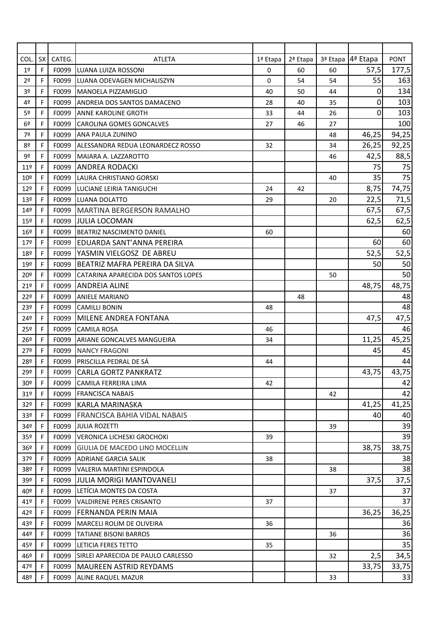| COL.            | <b>SX</b>   | CATEG. | <b>ATLETA</b>                       | 1ª Etapa    | 2ª Etapa |    | 3ª Etapa 4ª Etapa | <b>PONT</b> |
|-----------------|-------------|--------|-------------------------------------|-------------|----------|----|-------------------|-------------|
| 1 <sup>°</sup>  | F           | F0099  | LUANA LUIZA ROSSONI                 | 0           | 60       | 60 | 57,5              | 177,5       |
| 2 <sup>o</sup>  | F.          | F0099  | LUANA ODEVAGEN MICHALISZYN          | $\mathbf 0$ | 54       | 54 | 55                | 163         |
| 3 <sup>o</sup>  | F.          | F0099  | <b>IMANOELA PIZZAMIGLIO</b>         | 40          | 50       | 44 | 0                 | 134         |
| 4º              | F           | F0099  | ANDREIA DOS SANTOS DAMACENO         | 28          | 40       | 35 | 0                 | 103         |
| 5 <sup>o</sup>  | F           | F0099  | <b>ANNE KAROLINE GROTH</b>          | 33          | 44       | 26 | 0                 | 103         |
| 6 <sup>°</sup>  | F           | F0099  | <b>CAROLINA GOMES GONCALVES</b>     | 27          | 46       | 27 |                   | 100         |
| 7º              | F           | F0099  | <b>ANA PAULA ZUNINO</b>             |             |          | 48 | 46,25             | 94,25       |
| 80              | F           | F0099  | ALESSANDRA REDUA LEONARDECZ ROSSO   | 32          |          | 34 | 26,25             | 92,25       |
| 9º              | F           | F0099  | <b>IMAIARA A. LAZZAROTTO</b>        |             |          | 46 | 42,5              | 88,5        |
| 11 <sup>°</sup> | F.          | F0099  | <b>ANDREA RODACKI</b>               |             |          |    | 75                | 75          |
| 10 <sup>°</sup> | F           | F0099  | LAURA CHRISTIANO GORSKI             |             |          | 40 | 35                | 75          |
| 12 <sup>°</sup> | F.          | F0099  | LUCIANE LEIRIA TANIGUCHI            | 24          | 42       |    | 8,75              | 74,75       |
| 13 <sup>°</sup> | F           | F0099  | LUANA DOLATTO                       | 29          |          | 20 | 22,5              | 71,5        |
| 14º             | F           | F0099  | MARTINA BERGERSON RAMALHO           |             |          |    | 67,5              | 67,5        |
| 15 <sup>o</sup> | F.          | F0099  | <b>JULIA LOCOMAN</b>                |             |          |    | 62,5              | 62,5        |
| $16^{\circ}$    | F.          | F0099  | <b>BEATRIZ NASCIMENTO DANIEL</b>    | 60          |          |    |                   | 60          |
| 17 <sup>°</sup> | F.          | F0099  | EDUARDA SANT'ANNA PEREIRA           |             |          |    | 60                | 60          |
| 18º             | F           | F0099  | YASMIN VIELGOSZ DE ABREU            |             |          |    | 52,5              | 52,5        |
| 19º             | F           | F0099  | BEATRIZ MAFRA PEREIRA DA SILVA      |             |          |    | 50                | 50          |
| 20º             | $\mathsf F$ | F0099  | CATARINA APARECIDA DOS SANTOS LOPES |             |          | 50 |                   | 50          |
| 21°             | F.          | F0099  | <b>ANDREIA ALINE</b>                |             |          |    | 48,75             | 48,75       |
| 22 <sup>°</sup> | F.          | F0099  | <b>ANIELE MARIANO</b>               |             | 48       |    |                   | 48          |
| 23º             | F           | F0099  | <b>CAMILLI BONIN</b>                | 48          |          |    |                   | 48          |
| 24º             | F           | F0099  | MILENE ANDREA FONTANA               |             |          |    | 47,5              | 47,5        |
| 25º             | $\mathsf F$ | F0099  | <b>CAMILA ROSA</b>                  | 46          |          |    |                   | 46          |
| 26º             | F.          | F0099  | ARIANE GONCALVES MANGUEIRA          | 34          |          |    | 11,25             | 45,25       |
| 27 <sup>°</sup> | F.          | F0099  | <b>NANCY FRAGONI</b>                |             |          |    | 45                | 45          |
| 28º             | F           | F0099  | PRISCILLA PEDRAL DE SÁ              | 44          |          |    |                   | 44          |
| 29º             | F           | F0099  | <b>CARLA GORTZ PANKRATZ</b>         |             |          |    | 43,75             | 43,75       |
| 30º             | F           | F0099  | CAMILA FERREIRA LIMA                | 42          |          |    |                   | 42          |
| 31 <sup>°</sup> | F.          |        | <b>F0099   FRANCISCA NABAIS</b>     |             |          | 42 |                   | 42          |
| 32º             | F.          | F0099  | IKARLA MARINASKA                    |             |          |    | 41,25             | 41,25       |
| 33 <sup>o</sup> | F           | F0099  | <b>FRANCISCA BAHIA VIDAL NABAIS</b> |             |          |    | 40                | 40          |
| 94≗             | F           | F0099  | <b>JULIA ROZETTI</b>                |             |          | 39 |                   | 39          |
| 35 <sup>o</sup> | F           | F0099  | VERONICA LICHESKI GROCHOKI          | 39          |          |    |                   | 39          |
| 36 <sup>°</sup> | F.          | F0099  | GIULIA DE MACEDO LINO MOCELLIN      |             |          |    | 38,75             | 38,75       |
| 37º             | F.          | F0099  | <b>ADRIANE GARCIA SALIK</b>         | 38          |          |    |                   | 38          |
| 38º             | F           | F0099  | VALERIA MARTINI ESPINDOLA           |             |          | 38 |                   | 38          |
| 99≗             | F           | F0099  | IJULIA MORIGI MANTOVANELI           |             |          |    | 37,5              | 37,5        |
| 40º             | F           | F0099  | LETÍCIA MONTES DA COSTA             |             |          | 37 |                   | 37          |
| 41º             | F.          | F0099  | <b>VALDIRENE PERES CRISANTO</b>     | 37          |          |    |                   | 37          |
| 42º             | F.          | F0099  | IFERNANDA PERIN MAIA                |             |          |    | 36,25             | 36,25       |
| 43º             | F           | F0099  | <b>MARCELI ROLIM DE OLIVEIRA</b>    | 36          |          |    |                   | 36          |
| 44º             | F           | F0099  | <b>TATIANE BISONI BARROS</b>        |             |          | 36 |                   | 36          |
| 45º             | F.          | F0099  | LETICIA FERES TETTO                 | 35          |          |    |                   | 35          |
| 46º             | F           | F0099  | SIRLEI APARECIDA DE PAULO CARLESSO  |             |          | 32 | 2,5               | 34,5        |
| 47º             | F           | F0099  | <b>MAUREEN ASTRID REYDAMS</b>       |             |          |    | 33,75             | 33,75       |
| 48º             | F.          | F0099  | <b>ALINE RAQUEL MAZUR</b>           |             |          | 33 |                   | 33          |